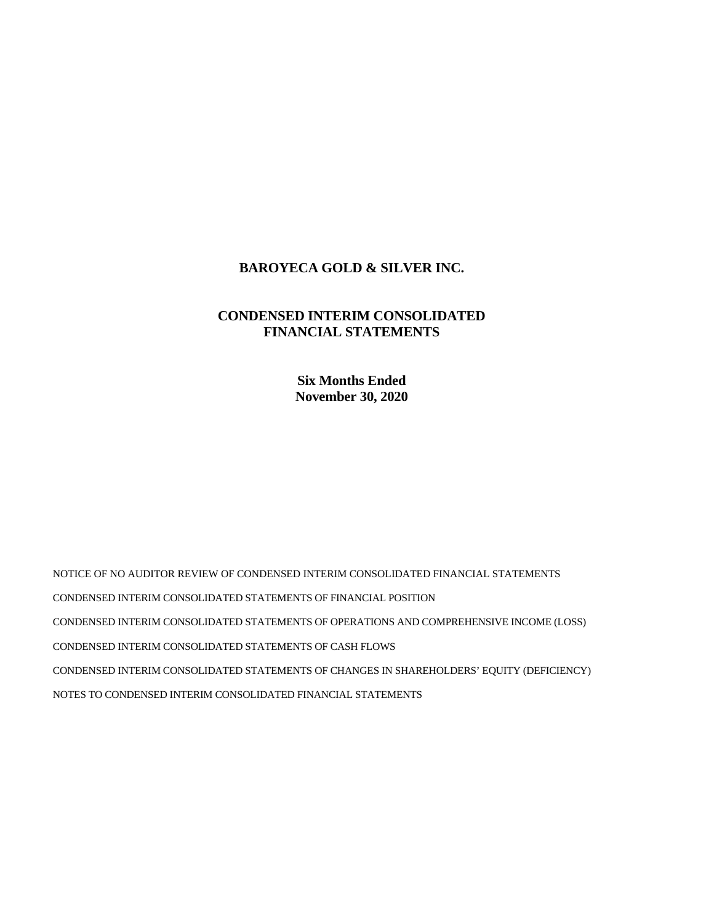# **BAROYECA GOLD & SILVER INC.**

# **CONDENSED INTERIM CONSOLIDATED FINANCIAL STATEMENTS**

**Six Months Ended November 30, 2020** 

NOTICE OF NO AUDITOR REVIEW OF CONDENSED INTERIM CONSOLIDATED FINANCIAL STATEMENTS CONDENSED INTERIM CONSOLIDATED STATEMENTS OF FINANCIAL POSITION CONDENSED INTERIM CONSOLIDATED STATEMENTS OF OPERATIONS AND COMPREHENSIVE INCOME (LOSS) CONDENSED INTERIM CONSOLIDATED STATEMENTS OF CASH FLOWS CONDENSED INTERIM CONSOLIDATED STATEMENTS OF CHANGES IN SHAREHOLDERS' EQUITY (DEFICIENCY) NOTES TO CONDENSED INTERIM CONSOLIDATED FINANCIAL STATEMENTS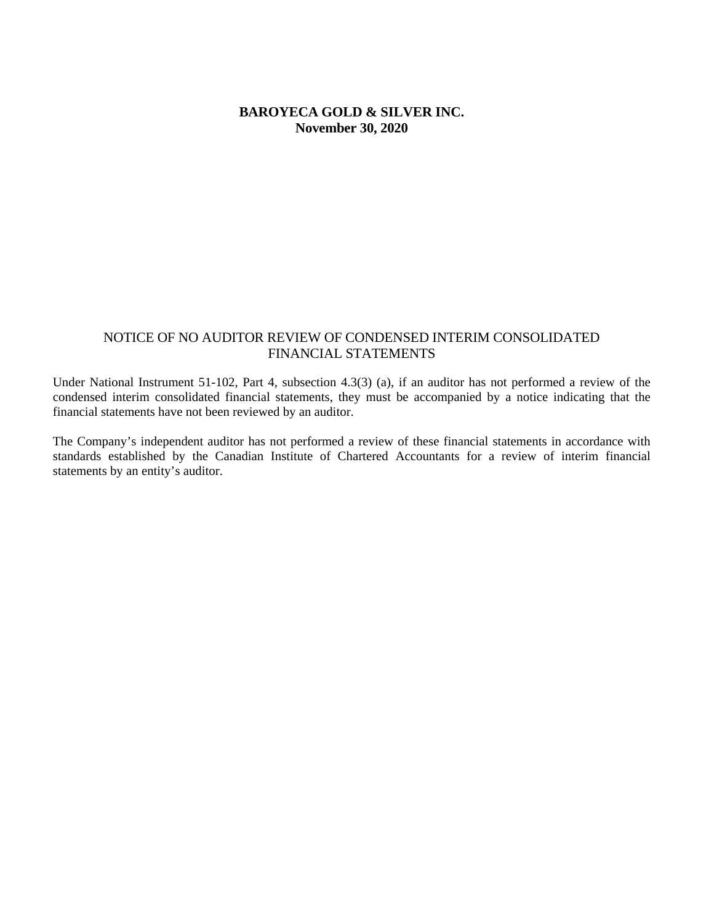# **BAROYECA GOLD & SILVER INC. November 30, 2020**

## NOTICE OF NO AUDITOR REVIEW OF CONDENSED INTERIM CONSOLIDATED FINANCIAL STATEMENTS

Under National Instrument 51-102, Part 4, subsection 4.3(3) (a), if an auditor has not performed a review of the condensed interim consolidated financial statements, they must be accompanied by a notice indicating that the financial statements have not been reviewed by an auditor.

The Company's independent auditor has not performed a review of these financial statements in accordance with standards established by the Canadian Institute of Chartered Accountants for a review of interim financial statements by an entity's auditor.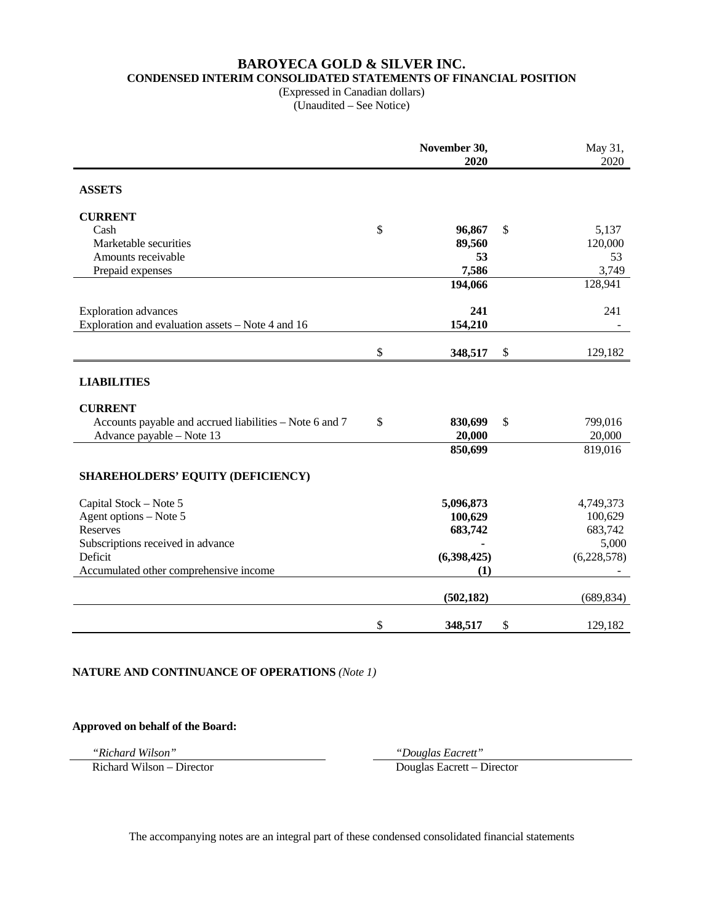# **BAROYECA GOLD & SILVER INC. CONDENSED INTERIM CONSOLIDATED STATEMENTS OF FINANCIAL POSITION**

(Expressed in Canadian dollars) (Unaudited – See Notice)

|                                                         | November 30,<br>2020 |               | May 31,<br>2020 |
|---------------------------------------------------------|----------------------|---------------|-----------------|
| <b>ASSETS</b>                                           |                      |               |                 |
| <b>CURRENT</b>                                          |                      |               |                 |
| Cash                                                    | \$<br>96,867         | \$            | 5,137           |
| Marketable securities                                   | 89,560               |               | 120,000         |
| Amounts receivable                                      | 53                   |               | 53              |
| Prepaid expenses                                        | 7,586                |               | 3,749           |
|                                                         | 194,066              |               | 128,941         |
| <b>Exploration</b> advances                             | 241                  |               | 241             |
| Exploration and evaluation assets – Note 4 and 16       | 154,210              |               |                 |
|                                                         | \$<br>348,517        | $\mathcal{S}$ | 129,182         |
| <b>LIABILITIES</b>                                      |                      |               |                 |
| <b>CURRENT</b>                                          |                      |               |                 |
| Accounts payable and accrued liabilities – Note 6 and 7 | \$<br>830,699        | \$            | 799,016         |
| Advance payable - Note 13                               | 20,000               |               | 20,000          |
|                                                         | 850,699              |               | 819,016         |
| <b>SHAREHOLDERS' EQUITY (DEFICIENCY)</b>                |                      |               |                 |
| Capital Stock - Note 5                                  | 5,096,873            |               | 4,749,373       |
| Agent options - Note 5                                  | 100,629              |               | 100,629         |
| <b>Reserves</b>                                         | 683,742              |               | 683,742         |
| Subscriptions received in advance                       |                      |               | 5,000           |
| Deficit                                                 | (6,398,425)          |               | (6,228,578)     |
| Accumulated other comprehensive income                  | (1)                  |               |                 |
|                                                         | (502, 182)           |               | (689, 834)      |
|                                                         | \$<br>348,517        | \$            | 129,182         |

#### **NATURE AND CONTINUANCE OF OPERATIONS** *(Note 1)*

#### **Approved on behalf of the Board:**

*"Richard Wilson" "Douglas Eacrett"* 

Douglas Eacrett – Director

The accompanying notes are an integral part of these condensed consolidated financial statements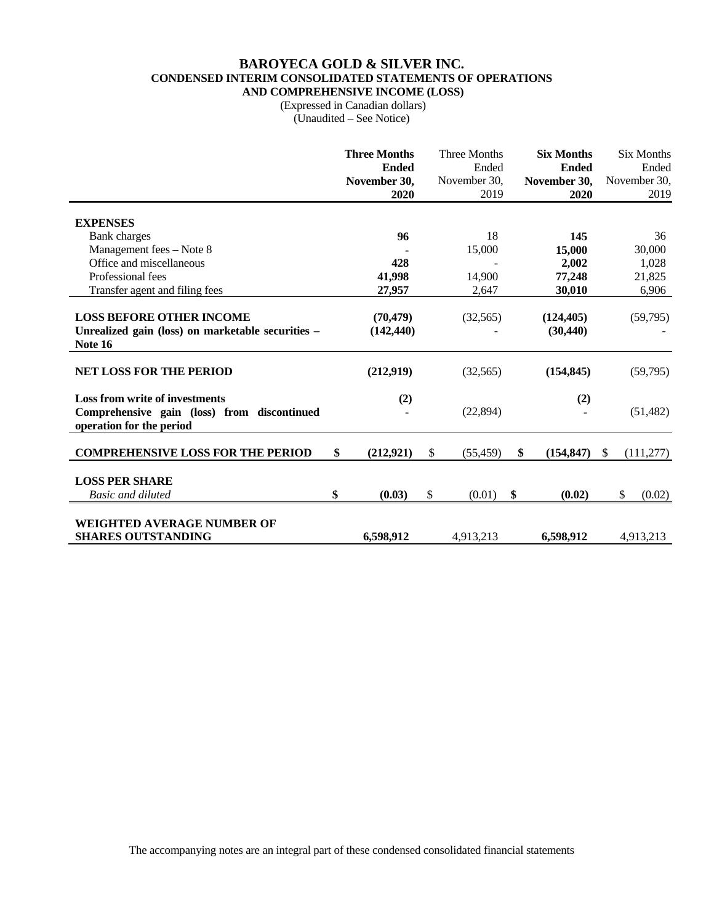#### **BAROYECA GOLD & SILVER INC. CONDENSED INTERIM CONSOLIDATED STATEMENTS OF OPERATIONS AND COMPREHENSIVE INCOME (LOSS)**

 (Expressed in Canadian dollars) (Unaudited – See Notice)

|                                                                                                                  | <b>Three Months</b><br><b>Ended</b><br>November 30,<br>2020 | <b>Three Months</b><br>Ended<br>November 30,<br>2019 | <b>Six Months</b><br><b>Ended</b><br>November 30,<br>2020 |               | <b>Six Months</b><br>Ended<br>November 30,<br>2019 |
|------------------------------------------------------------------------------------------------------------------|-------------------------------------------------------------|------------------------------------------------------|-----------------------------------------------------------|---------------|----------------------------------------------------|
| <b>EXPENSES</b>                                                                                                  |                                                             |                                                      |                                                           |               |                                                    |
| <b>Bank</b> charges                                                                                              | 96                                                          | 18                                                   | 145                                                       |               | 36                                                 |
| Management fees - Note 8                                                                                         |                                                             | 15,000                                               | 15,000                                                    |               | 30,000                                             |
| Office and miscellaneous                                                                                         | 428                                                         |                                                      | 2,002                                                     |               | 1,028                                              |
| Professional fees                                                                                                | 41,998                                                      | 14,900                                               | 77,248                                                    |               | 21,825                                             |
| Transfer agent and filing fees                                                                                   | 27,957                                                      | 2,647                                                | 30,010                                                    |               | 6,906                                              |
| <b>LOSS BEFORE OTHER INCOME</b><br>Unrealized gain (loss) on marketable securities -<br><b>Note 16</b>           | (70, 479)<br>(142, 440)                                     | (32, 565)                                            | (124, 405)<br>(30, 440)                                   |               | (59,795)                                           |
| <b>NET LOSS FOR THE PERIOD</b>                                                                                   | (212,919)                                                   | (32, 565)                                            | (154, 845)                                                |               | (59,795)                                           |
| <b>Loss from write of investments</b><br>Comprehensive gain (loss) from discontinued<br>operation for the period | (2)                                                         | (22, 894)                                            | (2)                                                       |               | (51, 482)                                          |
| <b>COMPREHENSIVE LOSS FOR THE PERIOD</b>                                                                         | \$<br>(212, 921)                                            | \$<br>(55, 459)                                      | \$<br>(154, 847)                                          | <sup>\$</sup> | (111, 277)                                         |
| <b>LOSS PER SHARE</b><br><b>Basic and diluted</b>                                                                | \$<br>(0.03)                                                | \$<br>(0.01)                                         | \$<br>(0.02)                                              |               | \$<br>(0.02)                                       |
| WEIGHTED AVERAGE NUMBER OF<br><b>SHARES OUTSTANDING</b>                                                          | 6,598,912                                                   | 4,913,213                                            | 6,598,912                                                 |               | 4,913,213                                          |

The accompanying notes are an integral part of these condensed consolidated financial statements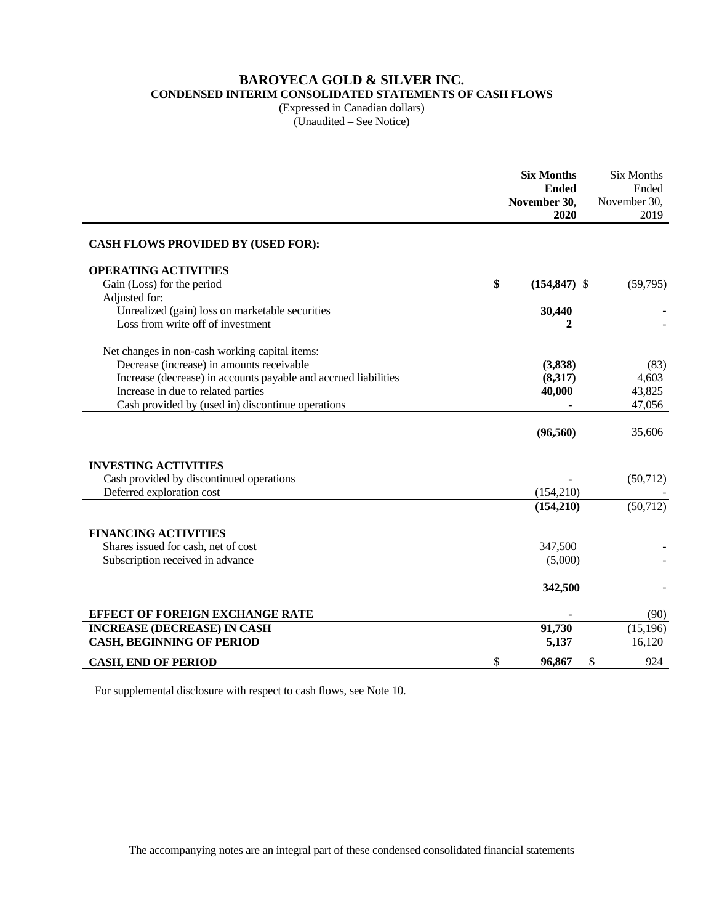# **BAROYECA GOLD & SILVER INC.**

**CONDENSED INTERIM CONSOLIDATED STATEMENTS OF CASH FLOWS** 

(Expressed in Canadian dollars) (Unaudited – See Notice)

|                                                                 | <b>Six Months</b><br><b>Ended</b><br>November 30,<br>2020 | <b>Six Months</b><br>Ended<br>November 30,<br>2019 |
|-----------------------------------------------------------------|-----------------------------------------------------------|----------------------------------------------------|
| <b>CASH FLOWS PROVIDED BY (USED FOR):</b>                       |                                                           |                                                    |
| <b>OPERATING ACTIVITIES</b>                                     |                                                           |                                                    |
| Gain (Loss) for the period                                      | \$<br>$(154, 847)$ \$                                     | (59,795)                                           |
| Adjusted for:                                                   |                                                           |                                                    |
| Unrealized (gain) loss on marketable securities                 | 30,440                                                    |                                                    |
| Loss from write off of investment                               | 2                                                         |                                                    |
| Net changes in non-cash working capital items:                  |                                                           |                                                    |
| Decrease (increase) in amounts receivable                       | (3, 838)                                                  | (83)                                               |
| Increase (decrease) in accounts payable and accrued liabilities | (8,317)                                                   | 4,603                                              |
| Increase in due to related parties                              | 40,000                                                    | 43,825                                             |
| Cash provided by (used in) discontinue operations               |                                                           | 47,056                                             |
|                                                                 |                                                           |                                                    |
|                                                                 | (96, 560)                                                 | 35,606                                             |
| <b>INVESTING ACTIVITIES</b>                                     |                                                           |                                                    |
| Cash provided by discontinued operations                        |                                                           | (50, 712)                                          |
| Deferred exploration cost                                       | (154,210)                                                 |                                                    |
|                                                                 | (154,210)                                                 | (50, 712)                                          |
| <b>FINANCING ACTIVITIES</b>                                     |                                                           |                                                    |
| Shares issued for cash, net of cost                             | 347,500                                                   |                                                    |
| Subscription received in advance                                | (5,000)                                                   |                                                    |
|                                                                 |                                                           |                                                    |
|                                                                 | 342,500                                                   |                                                    |
| EFFECT OF FOREIGN EXCHANGE RATE                                 |                                                           | (90)                                               |
| <b>INCREASE (DECREASE) IN CASH</b>                              | 91,730                                                    | (15, 196)                                          |
| <b>CASH, BEGINNING OF PERIOD</b>                                | 5,137                                                     | 16,120                                             |
| <b>CASH, END OF PERIOD</b>                                      | \$<br>96,867                                              | \$<br>924                                          |

For supplemental disclosure with respect to cash flows, see Note 10.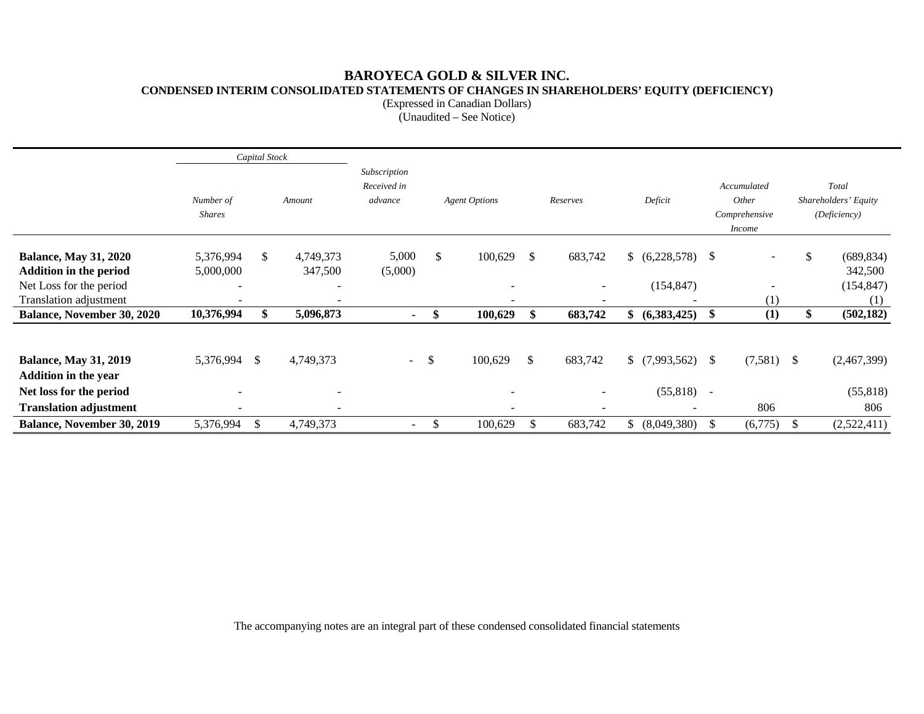# **BAROYECA GOLD & SILVER INC. CONDENSED INTERIM CONSOLIDATED STATEMENTS OF CHANGES IN SHAREHOLDERS' EQUITY (DEFICIENCY)**

(Expressed in Canadian Dollars)

(Unaudited – See Notice)

|                                                               |                            | Capital Stock |                          |                                        |    |                                                      |     |                                                      |    |                                           |        |                                                        |    |                                               |
|---------------------------------------------------------------|----------------------------|---------------|--------------------------|----------------------------------------|----|------------------------------------------------------|-----|------------------------------------------------------|----|-------------------------------------------|--------|--------------------------------------------------------|----|-----------------------------------------------|
|                                                               | Number of<br><b>Shares</b> |               | Amount                   | Subscription<br>Received in<br>advance |    | <b>Agent Options</b>                                 |     | Reserves                                             |    | Deficit                                   |        | Accumulated<br>Other<br>Comprehensive<br><i>Income</i> |    | Total<br>Shareholders' Equity<br>(Deficiency) |
| <b>Balance, May 31, 2020</b><br><b>Addition in the period</b> | 5,376,994<br>5,000,000     | \$            | 4,749,373<br>347,500     | 5,000<br>(5,000)                       | \$ | 100,629                                              | \$  | 683,742                                              |    | (6,228,578)                               | -S     | $\overline{\phantom{a}}$                               |    | \$<br>(689, 834)<br>342,500                   |
| Net Loss for the period<br>Translation adjustment             |                            |               | $\overline{\phantom{0}}$ |                                        |    | $\overline{\phantom{a}}$<br>$\overline{\phantom{0}}$ |     | $\overline{\phantom{a}}$<br>$\overline{\phantom{0}}$ |    | (154, 847)                                |        | (1)                                                    |    | (154, 847)<br>(1)                             |
| <b>Balance, November 30, 2020</b>                             | 10,376,994                 | \$            | 5,096,873                | $\sim$                                 | \$ | 100,629                                              | \$  | 683,742                                              | \$ | (6,383,425)                               | -S     | (1)                                                    |    | \$<br>(502, 182)                              |
| <b>Balance, May 31, 2019</b><br><b>Addition in the year</b>   | 5,376,994                  | -S            | 4,749,373                | $\sim$ $-$                             | S. | 100,629                                              | \$  | 683,742                                              |    | \$(7,993,562)                             | - \$   | $(7,581)$ \$                                           |    | (2,467,399)                                   |
| Net loss for the period<br><b>Translation adjustment</b>      | $\overline{\phantom{0}}$   |               | $\overline{\phantom{0}}$ |                                        |    | $\overline{\phantom{a}}$                             |     | $\overline{\phantom{0}}$                             |    | (55, 818)<br>$\qquad \qquad \blacksquare$ | $\sim$ | 806                                                    |    | (55, 818)<br>806                              |
| <b>Balance, November 30, 2019</b>                             | 5,376,994                  | $\mathbb{S}$  | 4,749,373                | $\overline{\phantom{a}}$               | \$ | 100,629                                              | \$. | 683,742                                              | S. | (8,049,380)                               | -S     | (6,775)                                                | -S | (2,522,411)                                   |

The accompanying notes are an integral part of these condensed consolidated financial statements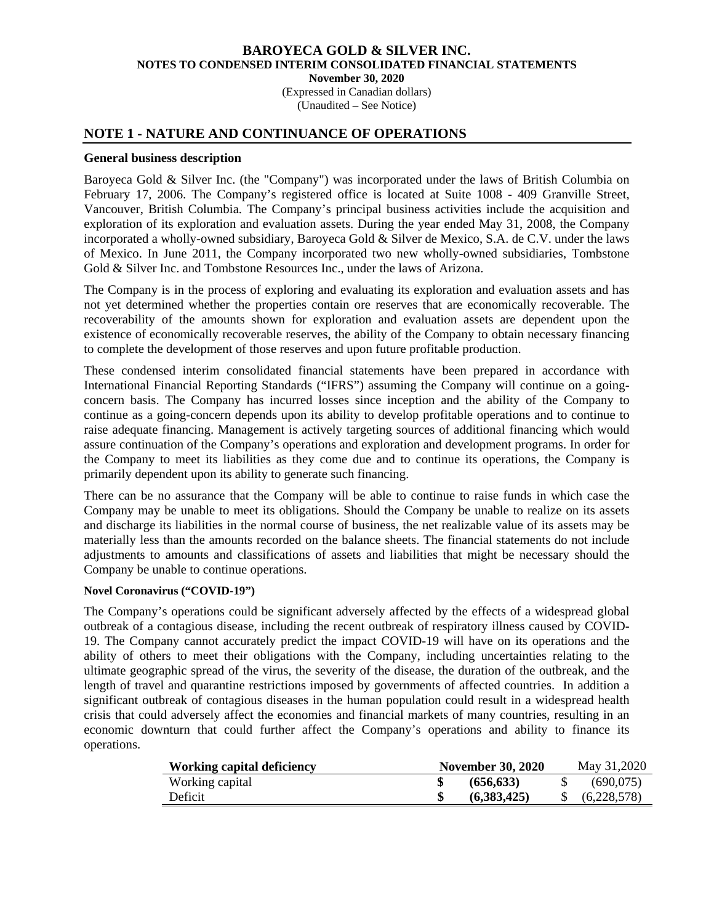(Expressed in Canadian dollars) (Unaudited – See Notice)

### **NOTE 1 - NATURE AND CONTINUANCE OF OPERATIONS**

#### **General business description**

Baroyeca Gold & Silver Inc. (the "Company") was incorporated under the laws of British Columbia on February 17, 2006. The Company's registered office is located at Suite 1008 - 409 Granville Street, Vancouver, British Columbia. The Company's principal business activities include the acquisition and exploration of its exploration and evaluation assets. During the year ended May 31, 2008, the Company incorporated a wholly-owned subsidiary, Baroyeca Gold & Silver de Mexico, S.A. de C.V. under the laws of Mexico. In June 2011, the Company incorporated two new wholly-owned subsidiaries, Tombstone Gold & Silver Inc. and Tombstone Resources Inc., under the laws of Arizona.

The Company is in the process of exploring and evaluating its exploration and evaluation assets and has not yet determined whether the properties contain ore reserves that are economically recoverable. The recoverability of the amounts shown for exploration and evaluation assets are dependent upon the existence of economically recoverable reserves, the ability of the Company to obtain necessary financing to complete the development of those reserves and upon future profitable production.

These condensed interim consolidated financial statements have been prepared in accordance with International Financial Reporting Standards ("IFRS") assuming the Company will continue on a goingconcern basis. The Company has incurred losses since inception and the ability of the Company to continue as a going-concern depends upon its ability to develop profitable operations and to continue to raise adequate financing. Management is actively targeting sources of additional financing which would assure continuation of the Company's operations and exploration and development programs. In order for the Company to meet its liabilities as they come due and to continue its operations, the Company is primarily dependent upon its ability to generate such financing.

There can be no assurance that the Company will be able to continue to raise funds in which case the Company may be unable to meet its obligations. Should the Company be unable to realize on its assets and discharge its liabilities in the normal course of business, the net realizable value of its assets may be materially less than the amounts recorded on the balance sheets. The financial statements do not include adjustments to amounts and classifications of assets and liabilities that might be necessary should the Company be unable to continue operations.

### **Novel Coronavirus ("COVID-19")**

The Company's operations could be significant adversely affected by the effects of a widespread global outbreak of a contagious disease, including the recent outbreak of respiratory illness caused by COVID-19. The Company cannot accurately predict the impact COVID-19 will have on its operations and the ability of others to meet their obligations with the Company, including uncertainties relating to the ultimate geographic spread of the virus, the severity of the disease, the duration of the outbreak, and the length of travel and quarantine restrictions imposed by governments of affected countries. In addition a significant outbreak of contagious diseases in the human population could result in a widespread health crisis that could adversely affect the economies and financial markets of many countries, resulting in an economic downturn that could further affect the Company's operations and ability to finance its operations.

| <b>Working capital deficiency</b> | <b>November 30, 2020</b> |             |  | May 31,2020 |
|-----------------------------------|--------------------------|-------------|--|-------------|
| Working capital                   |                          | (656.633)   |  | (690.075)   |
| Deficit                           |                          | (6.383.425) |  | (6,228,578) |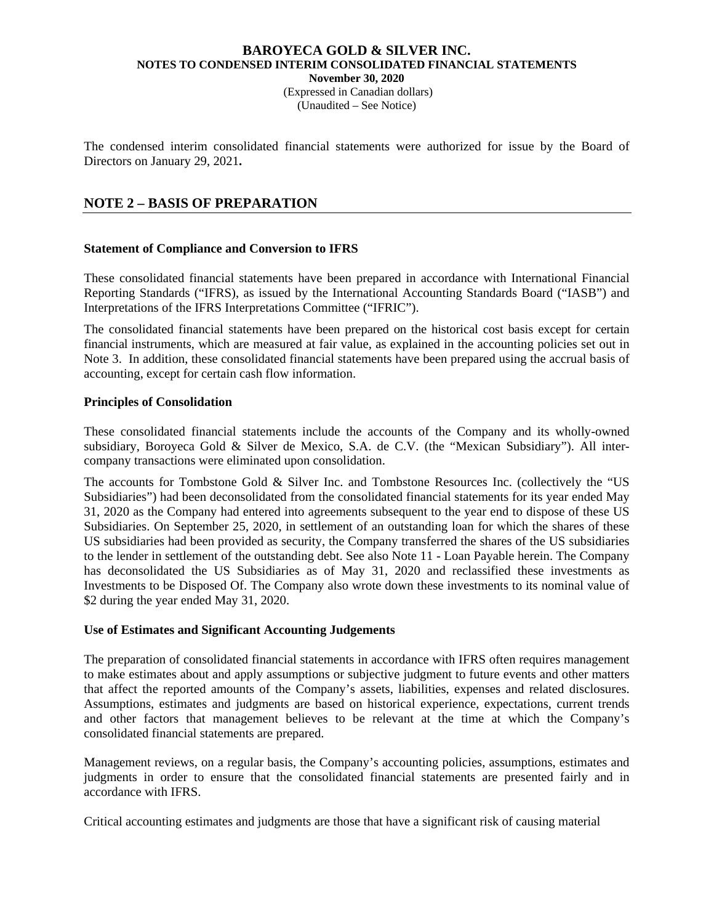(Expressed in Canadian dollars) (Unaudited – See Notice)

The condensed interim consolidated financial statements were authorized for issue by the Board of Directors on January 29, 2021**.** 

# **NOTE 2 – BASIS OF PREPARATION**

### **Statement of Compliance and Conversion to IFRS**

These consolidated financial statements have been prepared in accordance with International Financial Reporting Standards ("IFRS), as issued by the International Accounting Standards Board ("IASB") and Interpretations of the IFRS Interpretations Committee ("IFRIC").

The consolidated financial statements have been prepared on the historical cost basis except for certain financial instruments, which are measured at fair value, as explained in the accounting policies set out in Note 3. In addition, these consolidated financial statements have been prepared using the accrual basis of accounting, except for certain cash flow information.

#### **Principles of Consolidation**

These consolidated financial statements include the accounts of the Company and its wholly-owned subsidiary, Boroyeca Gold & Silver de Mexico, S.A. de C.V. (the "Mexican Subsidiary"). All intercompany transactions were eliminated upon consolidation.

The accounts for Tombstone Gold & Silver Inc. and Tombstone Resources Inc. (collectively the "US Subsidiaries") had been deconsolidated from the consolidated financial statements for its year ended May 31, 2020 as the Company had entered into agreements subsequent to the year end to dispose of these US Subsidiaries. On September 25, 2020, in settlement of an outstanding loan for which the shares of these US subsidiaries had been provided as security, the Company transferred the shares of the US subsidiaries to the lender in settlement of the outstanding debt. See also Note 11 - Loan Payable herein. The Company has deconsolidated the US Subsidiaries as of May 31, 2020 and reclassified these investments as Investments to be Disposed Of. The Company also wrote down these investments to its nominal value of \$2 during the year ended May 31, 2020.

#### **Use of Estimates and Significant Accounting Judgements**

The preparation of consolidated financial statements in accordance with IFRS often requires management to make estimates about and apply assumptions or subjective judgment to future events and other matters that affect the reported amounts of the Company's assets, liabilities, expenses and related disclosures. Assumptions, estimates and judgments are based on historical experience, expectations, current trends and other factors that management believes to be relevant at the time at which the Company's consolidated financial statements are prepared.

Management reviews, on a regular basis, the Company's accounting policies, assumptions, estimates and judgments in order to ensure that the consolidated financial statements are presented fairly and in accordance with IFRS.

Critical accounting estimates and judgments are those that have a significant risk of causing material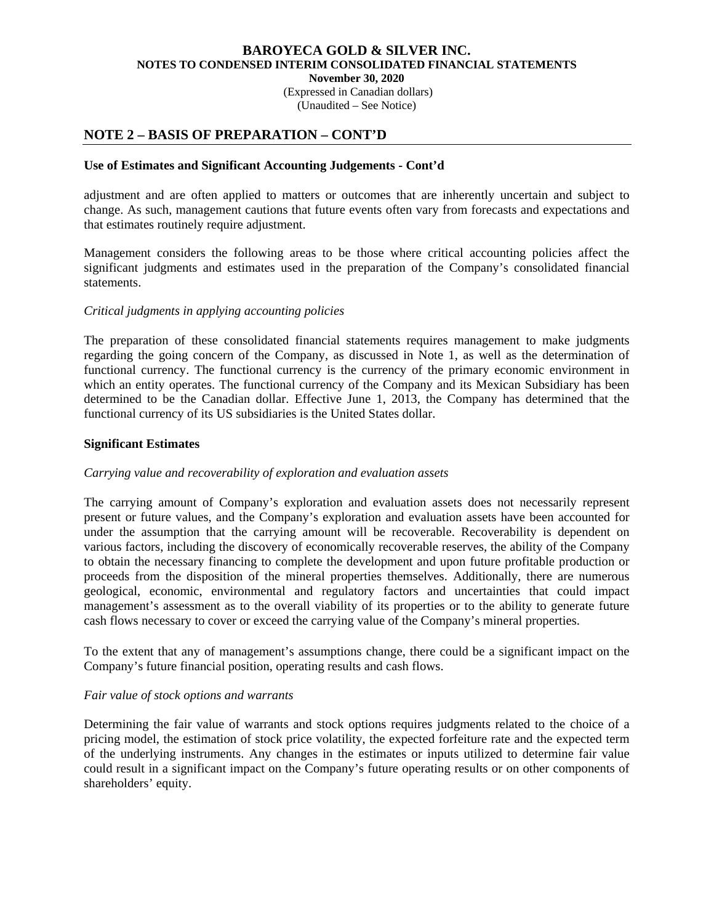(Expressed in Canadian dollars) (Unaudited – See Notice)

# **NOTE 2 – BASIS OF PREPARATION – CONT'D**

#### **Use of Estimates and Significant Accounting Judgements - Cont'd**

adjustment and are often applied to matters or outcomes that are inherently uncertain and subject to change. As such, management cautions that future events often vary from forecasts and expectations and that estimates routinely require adjustment.

Management considers the following areas to be those where critical accounting policies affect the significant judgments and estimates used in the preparation of the Company's consolidated financial statements.

#### *Critical judgments in applying accounting policies*

The preparation of these consolidated financial statements requires management to make judgments regarding the going concern of the Company, as discussed in Note 1, as well as the determination of functional currency. The functional currency is the currency of the primary economic environment in which an entity operates. The functional currency of the Company and its Mexican Subsidiary has been determined to be the Canadian dollar. Effective June 1, 2013, the Company has determined that the functional currency of its US subsidiaries is the United States dollar.

### **Significant Estimates**

#### *Carrying value and recoverability of exploration and evaluation assets*

The carrying amount of Company's exploration and evaluation assets does not necessarily represent present or future values, and the Company's exploration and evaluation assets have been accounted for under the assumption that the carrying amount will be recoverable. Recoverability is dependent on various factors, including the discovery of economically recoverable reserves, the ability of the Company to obtain the necessary financing to complete the development and upon future profitable production or proceeds from the disposition of the mineral properties themselves. Additionally, there are numerous geological, economic, environmental and regulatory factors and uncertainties that could impact management's assessment as to the overall viability of its properties or to the ability to generate future cash flows necessary to cover or exceed the carrying value of the Company's mineral properties.

To the extent that any of management's assumptions change, there could be a significant impact on the Company's future financial position, operating results and cash flows.

#### *Fair value of stock options and warrants*

Determining the fair value of warrants and stock options requires judgments related to the choice of a pricing model, the estimation of stock price volatility, the expected forfeiture rate and the expected term of the underlying instruments. Any changes in the estimates or inputs utilized to determine fair value could result in a significant impact on the Company's future operating results or on other components of shareholders' equity.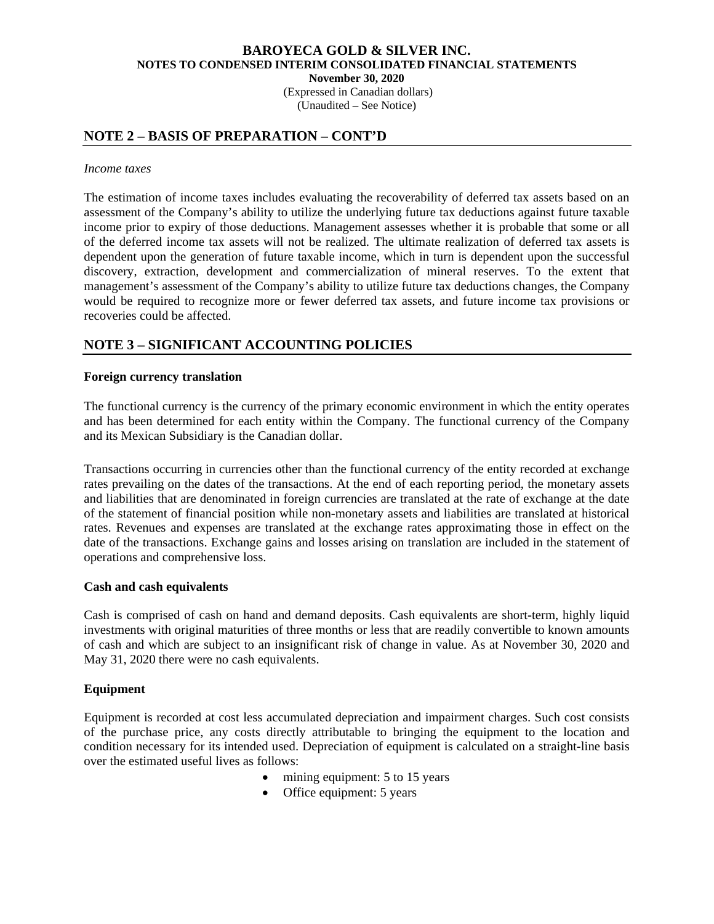(Expressed in Canadian dollars) (Unaudited – See Notice)

## **NOTE 2 – BASIS OF PREPARATION – CONT'D**

#### *Income taxes*

The estimation of income taxes includes evaluating the recoverability of deferred tax assets based on an assessment of the Company's ability to utilize the underlying future tax deductions against future taxable income prior to expiry of those deductions. Management assesses whether it is probable that some or all of the deferred income tax assets will not be realized. The ultimate realization of deferred tax assets is dependent upon the generation of future taxable income, which in turn is dependent upon the successful discovery, extraction, development and commercialization of mineral reserves. To the extent that management's assessment of the Company's ability to utilize future tax deductions changes, the Company would be required to recognize more or fewer deferred tax assets, and future income tax provisions or recoveries could be affected.

# **NOTE 3 – SIGNIFICANT ACCOUNTING POLICIES**

### **Foreign currency translation**

The functional currency is the currency of the primary economic environment in which the entity operates and has been determined for each entity within the Company. The functional currency of the Company and its Mexican Subsidiary is the Canadian dollar.

Transactions occurring in currencies other than the functional currency of the entity recorded at exchange rates prevailing on the dates of the transactions. At the end of each reporting period, the monetary assets and liabilities that are denominated in foreign currencies are translated at the rate of exchange at the date of the statement of financial position while non-monetary assets and liabilities are translated at historical rates. Revenues and expenses are translated at the exchange rates approximating those in effect on the date of the transactions. Exchange gains and losses arising on translation are included in the statement of operations and comprehensive loss.

#### **Cash and cash equivalents**

Cash is comprised of cash on hand and demand deposits. Cash equivalents are short-term, highly liquid investments with original maturities of three months or less that are readily convertible to known amounts of cash and which are subject to an insignificant risk of change in value. As at November 30, 2020 and May 31, 2020 there were no cash equivalents.

### **Equipment**

Equipment is recorded at cost less accumulated depreciation and impairment charges. Such cost consists of the purchase price, any costs directly attributable to bringing the equipment to the location and condition necessary for its intended used. Depreciation of equipment is calculated on a straight-line basis over the estimated useful lives as follows:

- mining equipment: 5 to 15 years
- Office equipment: 5 years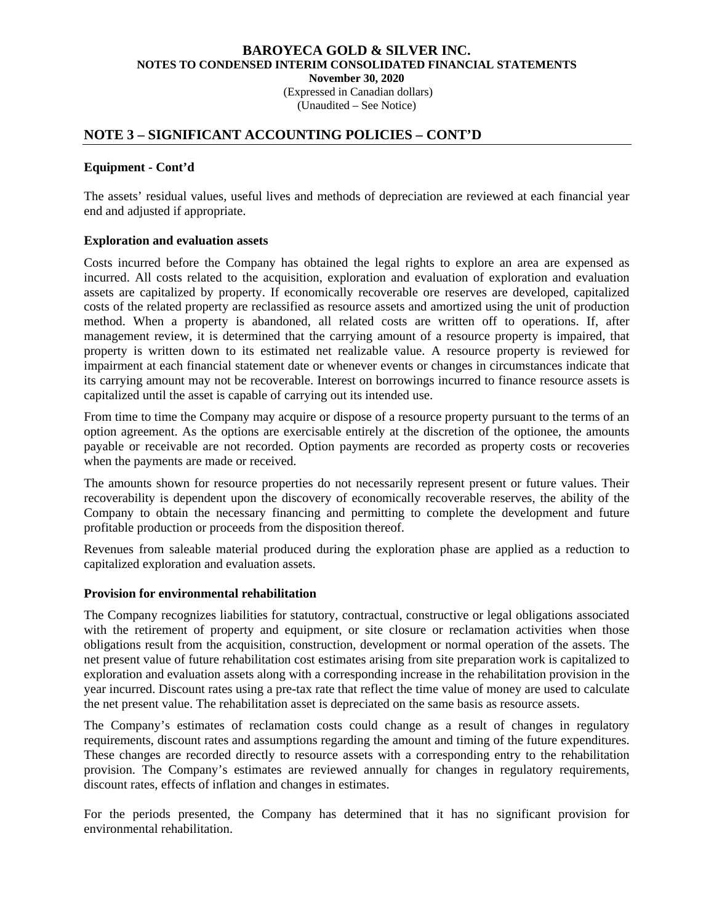(Expressed in Canadian dollars) (Unaudited – See Notice)

### **NOTE 3 – SIGNIFICANT ACCOUNTING POLICIES – CONT'D**

#### **Equipment - Cont'd**

The assets' residual values, useful lives and methods of depreciation are reviewed at each financial year end and adjusted if appropriate.

### **Exploration and evaluation assets**

Costs incurred before the Company has obtained the legal rights to explore an area are expensed as incurred. All costs related to the acquisition, exploration and evaluation of exploration and evaluation assets are capitalized by property. If economically recoverable ore reserves are developed, capitalized costs of the related property are reclassified as resource assets and amortized using the unit of production method. When a property is abandoned, all related costs are written off to operations. If, after management review, it is determined that the carrying amount of a resource property is impaired, that property is written down to its estimated net realizable value. A resource property is reviewed for impairment at each financial statement date or whenever events or changes in circumstances indicate that its carrying amount may not be recoverable. Interest on borrowings incurred to finance resource assets is capitalized until the asset is capable of carrying out its intended use.

From time to time the Company may acquire or dispose of a resource property pursuant to the terms of an option agreement. As the options are exercisable entirely at the discretion of the optionee, the amounts payable or receivable are not recorded. Option payments are recorded as property costs or recoveries when the payments are made or received.

The amounts shown for resource properties do not necessarily represent present or future values. Their recoverability is dependent upon the discovery of economically recoverable reserves, the ability of the Company to obtain the necessary financing and permitting to complete the development and future profitable production or proceeds from the disposition thereof.

Revenues from saleable material produced during the exploration phase are applied as a reduction to capitalized exploration and evaluation assets.

### **Provision for environmental rehabilitation**

The Company recognizes liabilities for statutory, contractual, constructive or legal obligations associated with the retirement of property and equipment, or site closure or reclamation activities when those obligations result from the acquisition, construction, development or normal operation of the assets. The net present value of future rehabilitation cost estimates arising from site preparation work is capitalized to exploration and evaluation assets along with a corresponding increase in the rehabilitation provision in the year incurred. Discount rates using a pre-tax rate that reflect the time value of money are used to calculate the net present value. The rehabilitation asset is depreciated on the same basis as resource assets.

The Company's estimates of reclamation costs could change as a result of changes in regulatory requirements, discount rates and assumptions regarding the amount and timing of the future expenditures. These changes are recorded directly to resource assets with a corresponding entry to the rehabilitation provision. The Company's estimates are reviewed annually for changes in regulatory requirements, discount rates, effects of inflation and changes in estimates.

For the periods presented, the Company has determined that it has no significant provision for environmental rehabilitation.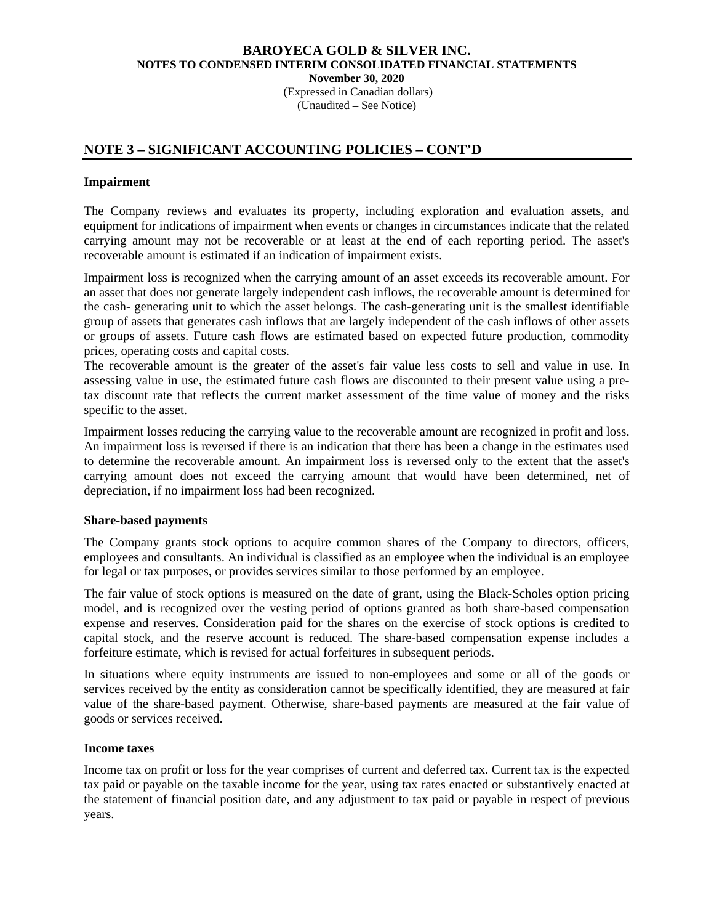(Expressed in Canadian dollars) (Unaudited – See Notice)

# **NOTE 3 – SIGNIFICANT ACCOUNTING POLICIES – CONT'D**

#### **Impairment**

The Company reviews and evaluates its property, including exploration and evaluation assets, and equipment for indications of impairment when events or changes in circumstances indicate that the related carrying amount may not be recoverable or at least at the end of each reporting period. The asset's recoverable amount is estimated if an indication of impairment exists.

Impairment loss is recognized when the carrying amount of an asset exceeds its recoverable amount. For an asset that does not generate largely independent cash inflows, the recoverable amount is determined for the cash- generating unit to which the asset belongs. The cash-generating unit is the smallest identifiable group of assets that generates cash inflows that are largely independent of the cash inflows of other assets or groups of assets. Future cash flows are estimated based on expected future production, commodity prices, operating costs and capital costs.

The recoverable amount is the greater of the asset's fair value less costs to sell and value in use. In assessing value in use, the estimated future cash flows are discounted to their present value using a pretax discount rate that reflects the current market assessment of the time value of money and the risks specific to the asset.

Impairment losses reducing the carrying value to the recoverable amount are recognized in profit and loss. An impairment loss is reversed if there is an indication that there has been a change in the estimates used to determine the recoverable amount. An impairment loss is reversed only to the extent that the asset's carrying amount does not exceed the carrying amount that would have been determined, net of depreciation, if no impairment loss had been recognized.

#### **Share-based payments**

The Company grants stock options to acquire common shares of the Company to directors, officers, employees and consultants. An individual is classified as an employee when the individual is an employee for legal or tax purposes, or provides services similar to those performed by an employee.

The fair value of stock options is measured on the date of grant, using the Black-Scholes option pricing model, and is recognized over the vesting period of options granted as both share-based compensation expense and reserves. Consideration paid for the shares on the exercise of stock options is credited to capital stock, and the reserve account is reduced. The share-based compensation expense includes a forfeiture estimate, which is revised for actual forfeitures in subsequent periods.

In situations where equity instruments are issued to non-employees and some or all of the goods or services received by the entity as consideration cannot be specifically identified, they are measured at fair value of the share-based payment. Otherwise, share-based payments are measured at the fair value of goods or services received.

#### **Income taxes**

Income tax on profit or loss for the year comprises of current and deferred tax. Current tax is the expected tax paid or payable on the taxable income for the year, using tax rates enacted or substantively enacted at the statement of financial position date, and any adjustment to tax paid or payable in respect of previous years.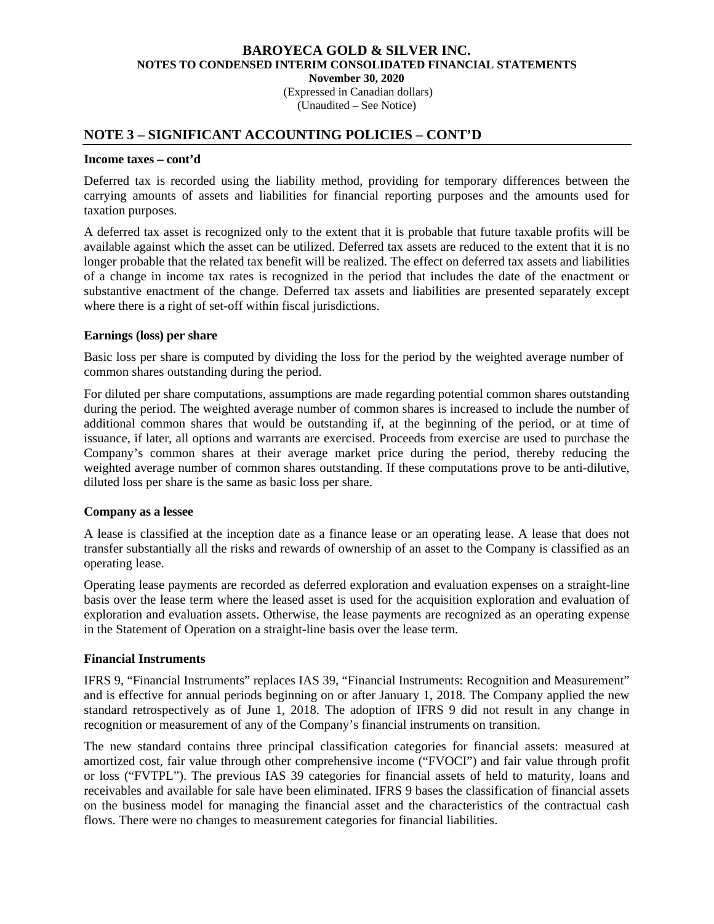(Expressed in Canadian dollars) (Unaudited – See Notice)

### **NOTE 3 – SIGNIFICANT ACCOUNTING POLICIES – CONT'D**

#### **Income taxes – cont'd**

Deferred tax is recorded using the liability method, providing for temporary differences between the carrying amounts of assets and liabilities for financial reporting purposes and the amounts used for taxation purposes.

A deferred tax asset is recognized only to the extent that it is probable that future taxable profits will be available against which the asset can be utilized. Deferred tax assets are reduced to the extent that it is no longer probable that the related tax benefit will be realized. The effect on deferred tax assets and liabilities of a change in income tax rates is recognized in the period that includes the date of the enactment or substantive enactment of the change. Deferred tax assets and liabilities are presented separately except where there is a right of set-off within fiscal jurisdictions.

### **Earnings (loss) per share**

Basic loss per share is computed by dividing the loss for the period by the weighted average number of common shares outstanding during the period.

For diluted per share computations, assumptions are made regarding potential common shares outstanding during the period. The weighted average number of common shares is increased to include the number of additional common shares that would be outstanding if, at the beginning of the period, or at time of issuance, if later, all options and warrants are exercised. Proceeds from exercise are used to purchase the Company's common shares at their average market price during the period, thereby reducing the weighted average number of common shares outstanding. If these computations prove to be anti-dilutive, diluted loss per share is the same as basic loss per share.

#### **Company as a lessee**

A lease is classified at the inception date as a finance lease or an operating lease. A lease that does not transfer substantially all the risks and rewards of ownership of an asset to the Company is classified as an operating lease.

Operating lease payments are recorded as deferred exploration and evaluation expenses on a straight-line basis over the lease term where the leased asset is used for the acquisition exploration and evaluation of exploration and evaluation assets. Otherwise, the lease payments are recognized as an operating expense in the Statement of Operation on a straight-line basis over the lease term.

#### **Financial Instruments**

IFRS 9, "Financial Instruments" replaces IAS 39, "Financial Instruments: Recognition and Measurement" and is effective for annual periods beginning on or after January 1, 2018. The Company applied the new standard retrospectively as of June 1, 2018. The adoption of IFRS 9 did not result in any change in recognition or measurement of any of the Company's financial instruments on transition.

The new standard contains three principal classification categories for financial assets: measured at amortized cost, fair value through other comprehensive income ("FVOCI") and fair value through profit or loss ("FVTPL"). The previous IAS 39 categories for financial assets of held to maturity, loans and receivables and available for sale have been eliminated. IFRS 9 bases the classification of financial assets on the business model for managing the financial asset and the characteristics of the contractual cash flows. There were no changes to measurement categories for financial liabilities.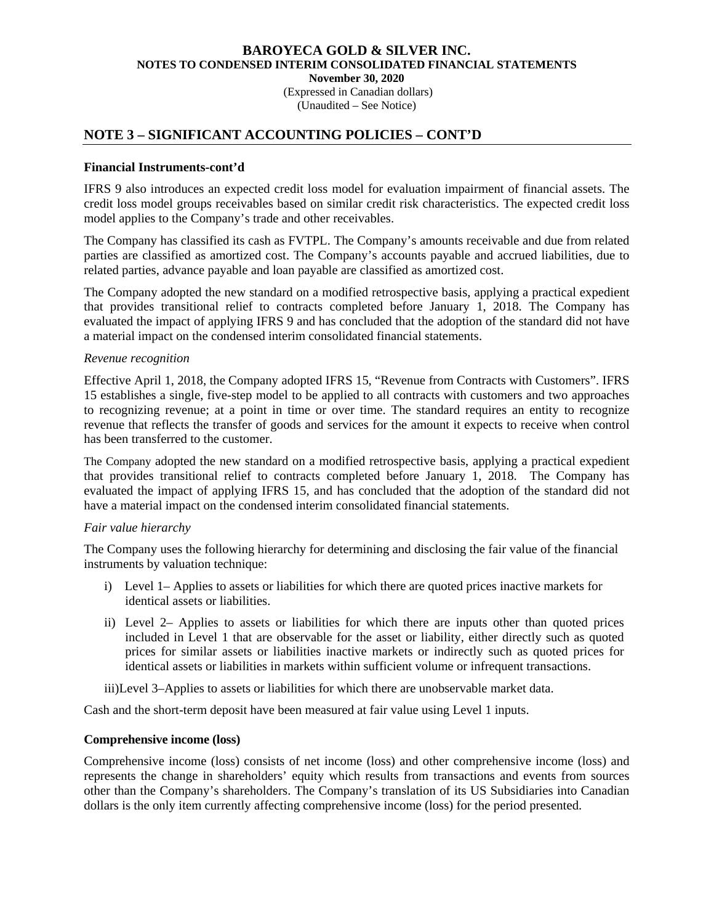(Expressed in Canadian dollars) (Unaudited – See Notice)

## **NOTE 3 – SIGNIFICANT ACCOUNTING POLICIES – CONT'D**

#### **Financial Instruments-cont'd**

IFRS 9 also introduces an expected credit loss model for evaluation impairment of financial assets. The credit loss model groups receivables based on similar credit risk characteristics. The expected credit loss model applies to the Company's trade and other receivables.

 The Company has classified its cash as FVTPL. The Company's amounts receivable and due from related parties are classified as amortized cost. The Company's accounts payable and accrued liabilities, due to related parties, advance payable and loan payable are classified as amortized cost.

The Company adopted the new standard on a modified retrospective basis, applying a practical expedient that provides transitional relief to contracts completed before January 1, 2018. The Company has evaluated the impact of applying IFRS 9 and has concluded that the adoption of the standard did not have a material impact on the condensed interim consolidated financial statements.

#### *Revenue recognition*

Effective April 1, 2018, the Company adopted IFRS 15, "Revenue from Contracts with Customers". IFRS 15 establishes a single, five-step model to be applied to all contracts with customers and two approaches to recognizing revenue; at a point in time or over time. The standard requires an entity to recognize revenue that reflects the transfer of goods and services for the amount it expects to receive when control has been transferred to the customer.

The Company adopted the new standard on a modified retrospective basis, applying a practical expedient that provides transitional relief to contracts completed before January 1, 2018. The Company has evaluated the impact of applying IFRS 15, and has concluded that the adoption of the standard did not have a material impact on the condensed interim consolidated financial statements.

#### *Fair value hierarchy*

The Company uses the following hierarchy for determining and disclosing the fair value of the financial instruments by valuation technique:

- i) Level 1– Applies to assets or liabilities for which there are quoted prices inactive markets for identical assets or liabilities.
- ii) Level 2– Applies to assets or liabilities for which there are inputs other than quoted prices included in Level 1 that are observable for the asset or liability, either directly such as quoted prices for similar assets or liabilities inactive markets or indirectly such as quoted prices for identical assets or liabilities in markets within sufficient volume or infrequent transactions.

iii)Level 3–Applies to assets or liabilities for which there are unobservable market data.

Cash and the short-term deposit have been measured at fair value using Level 1 inputs.

#### **Comprehensive income (loss)**

Comprehensive income (loss) consists of net income (loss) and other comprehensive income (loss) and represents the change in shareholders' equity which results from transactions and events from sources other than the Company's shareholders. The Company's translation of its US Subsidiaries into Canadian dollars is the only item currently affecting comprehensive income (loss) for the period presented.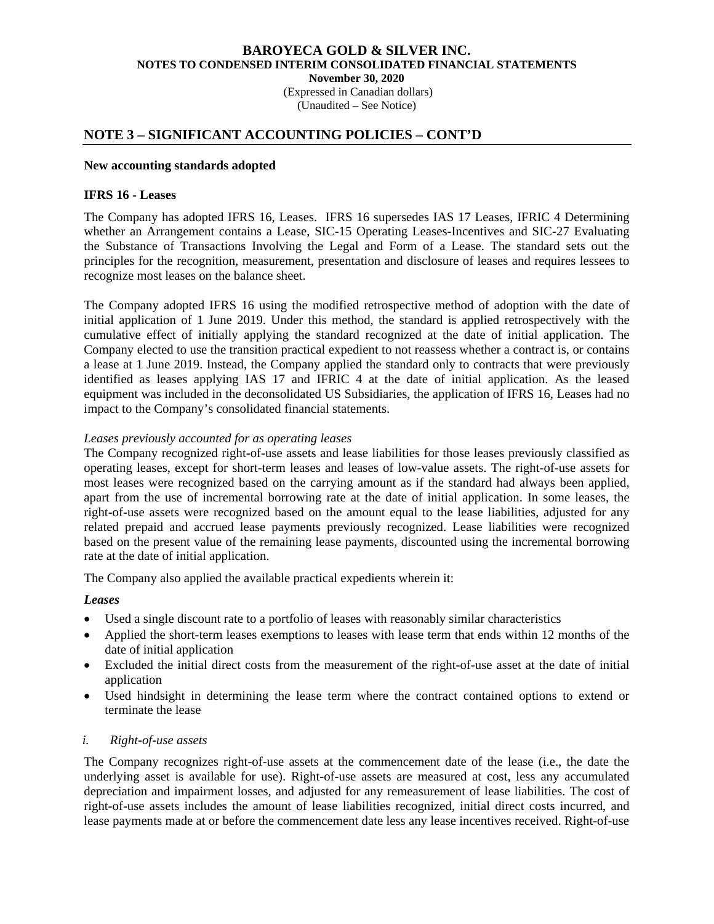(Expressed in Canadian dollars) (Unaudited – See Notice)

### **NOTE 3 – SIGNIFICANT ACCOUNTING POLICIES – CONT'D**

#### **New accounting standards adopted**

#### **IFRS 16 - Leases**

The Company has adopted IFRS 16, Leases. IFRS 16 supersedes IAS 17 Leases, IFRIC 4 Determining whether an Arrangement contains a Lease, SIC-15 Operating Leases-Incentives and SIC-27 Evaluating the Substance of Transactions Involving the Legal and Form of a Lease. The standard sets out the principles for the recognition, measurement, presentation and disclosure of leases and requires lessees to recognize most leases on the balance sheet.

The Company adopted IFRS 16 using the modified retrospective method of adoption with the date of initial application of 1 June 2019. Under this method, the standard is applied retrospectively with the cumulative effect of initially applying the standard recognized at the date of initial application. The Company elected to use the transition practical expedient to not reassess whether a contract is, or contains a lease at 1 June 2019. Instead, the Company applied the standard only to contracts that were previously identified as leases applying IAS 17 and IFRIC 4 at the date of initial application. As the leased equipment was included in the deconsolidated US Subsidiaries, the application of IFRS 16, Leases had no impact to the Company's consolidated financial statements.

#### *Leases previously accounted for as operating leases*

The Company recognized right-of-use assets and lease liabilities for those leases previously classified as operating leases, except for short-term leases and leases of low-value assets. The right-of-use assets for most leases were recognized based on the carrying amount as if the standard had always been applied, apart from the use of incremental borrowing rate at the date of initial application. In some leases, the right-of-use assets were recognized based on the amount equal to the lease liabilities, adjusted for any related prepaid and accrued lease payments previously recognized. Lease liabilities were recognized based on the present value of the remaining lease payments, discounted using the incremental borrowing rate at the date of initial application.

The Company also applied the available practical expedients wherein it:

#### *Leases*

- Used a single discount rate to a portfolio of leases with reasonably similar characteristics
- Applied the short-term leases exemptions to leases with lease term that ends within 12 months of the date of initial application
- Excluded the initial direct costs from the measurement of the right-of-use asset at the date of initial application
- Used hindsight in determining the lease term where the contract contained options to extend or terminate the lease

#### *i. Right-of-use assets*

The Company recognizes right-of-use assets at the commencement date of the lease (i.e., the date the underlying asset is available for use). Right-of-use assets are measured at cost, less any accumulated depreciation and impairment losses, and adjusted for any remeasurement of lease liabilities. The cost of right-of-use assets includes the amount of lease liabilities recognized, initial direct costs incurred, and lease payments made at or before the commencement date less any lease incentives received. Right-of-use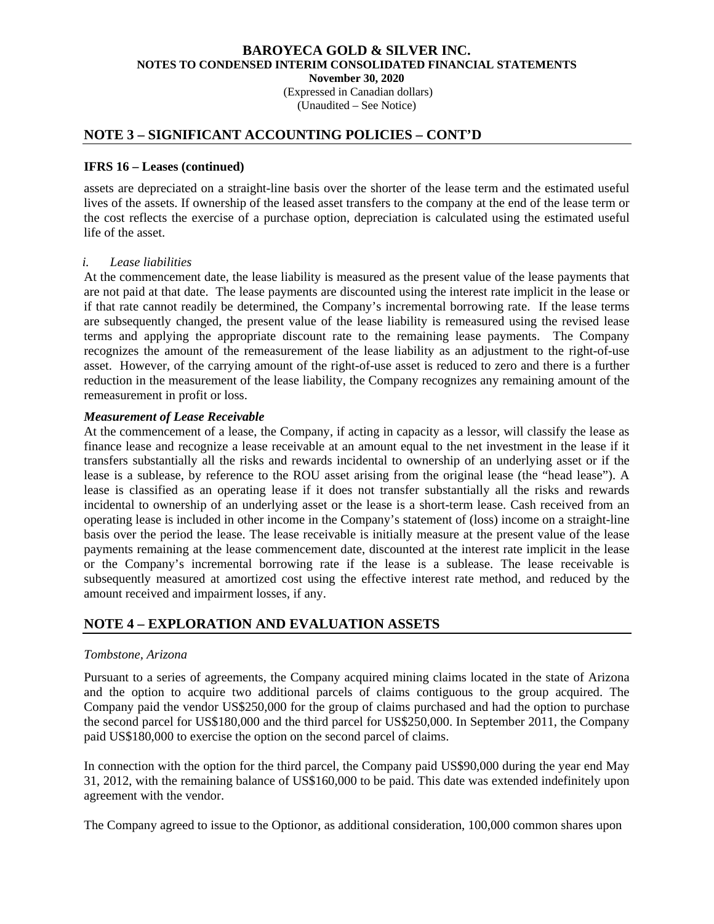(Expressed in Canadian dollars) (Unaudited – See Notice)

### **NOTE 3 – SIGNIFICANT ACCOUNTING POLICIES – CONT'D**

#### **IFRS 16 – Leases (continued)**

assets are depreciated on a straight-line basis over the shorter of the lease term and the estimated useful lives of the assets. If ownership of the leased asset transfers to the company at the end of the lease term or the cost reflects the exercise of a purchase option, depreciation is calculated using the estimated useful life of the asset.

#### *i. Lease liabilities*

At the commencement date, the lease liability is measured as the present value of the lease payments that are not paid at that date. The lease payments are discounted using the interest rate implicit in the lease or if that rate cannot readily be determined, the Company's incremental borrowing rate. If the lease terms are subsequently changed, the present value of the lease liability is remeasured using the revised lease terms and applying the appropriate discount rate to the remaining lease payments. The Company recognizes the amount of the remeasurement of the lease liability as an adjustment to the right-of-use asset. However, of the carrying amount of the right-of-use asset is reduced to zero and there is a further reduction in the measurement of the lease liability, the Company recognizes any remaining amount of the remeasurement in profit or loss.

### *Measurement of Lease Receivable*

At the commencement of a lease, the Company, if acting in capacity as a lessor, will classify the lease as finance lease and recognize a lease receivable at an amount equal to the net investment in the lease if it transfers substantially all the risks and rewards incidental to ownership of an underlying asset or if the lease is a sublease, by reference to the ROU asset arising from the original lease (the "head lease"). A lease is classified as an operating lease if it does not transfer substantially all the risks and rewards incidental to ownership of an underlying asset or the lease is a short-term lease. Cash received from an operating lease is included in other income in the Company's statement of (loss) income on a straight-line basis over the period the lease. The lease receivable is initially measure at the present value of the lease payments remaining at the lease commencement date, discounted at the interest rate implicit in the lease or the Company's incremental borrowing rate if the lease is a sublease. The lease receivable is subsequently measured at amortized cost using the effective interest rate method, and reduced by the amount received and impairment losses, if any.

# **NOTE 4 – EXPLORATION AND EVALUATION ASSETS**

### *Tombstone, Arizona*

Pursuant to a series of agreements, the Company acquired mining claims located in the state of Arizona and the option to acquire two additional parcels of claims contiguous to the group acquired. The Company paid the vendor US\$250,000 for the group of claims purchased and had the option to purchase the second parcel for US\$180,000 and the third parcel for US\$250,000. In September 2011, the Company paid US\$180,000 to exercise the option on the second parcel of claims.

In connection with the option for the third parcel, the Company paid US\$90,000 during the year end May 31, 2012, with the remaining balance of US\$160,000 to be paid. This date was extended indefinitely upon agreement with the vendor.

The Company agreed to issue to the Optionor, as additional consideration, 100,000 common shares upon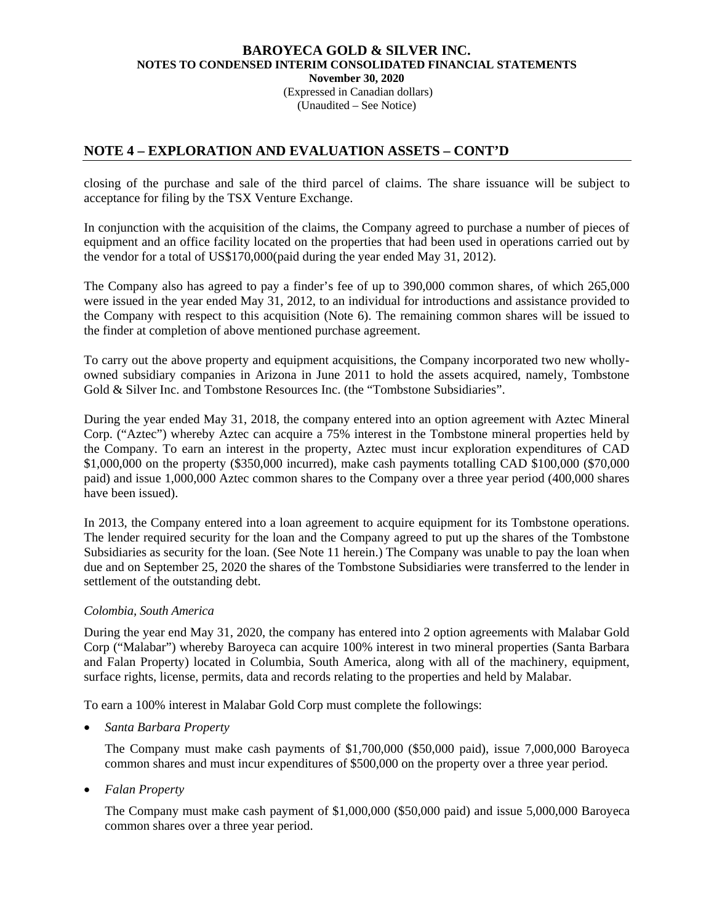(Expressed in Canadian dollars) (Unaudited – See Notice)

# **NOTE 4 – EXPLORATION AND EVALUATION ASSETS – CONT'D**

closing of the purchase and sale of the third parcel of claims. The share issuance will be subject to acceptance for filing by the TSX Venture Exchange.

In conjunction with the acquisition of the claims, the Company agreed to purchase a number of pieces of equipment and an office facility located on the properties that had been used in operations carried out by the vendor for a total of US\$170,000(paid during the year ended May 31, 2012).

The Company also has agreed to pay a finder's fee of up to 390,000 common shares, of which 265,000 were issued in the year ended May 31, 2012, to an individual for introductions and assistance provided to the Company with respect to this acquisition (Note 6). The remaining common shares will be issued to the finder at completion of above mentioned purchase agreement.

To carry out the above property and equipment acquisitions, the Company incorporated two new whollyowned subsidiary companies in Arizona in June 2011 to hold the assets acquired, namely, Tombstone Gold & Silver Inc. and Tombstone Resources Inc. (the "Tombstone Subsidiaries".

During the year ended May 31, 2018, the company entered into an option agreement with Aztec Mineral Corp. ("Aztec") whereby Aztec can acquire a 75% interest in the Tombstone mineral properties held by the Company. To earn an interest in the property, Aztec must incur exploration expenditures of CAD \$1,000,000 on the property (\$350,000 incurred), make cash payments totalling CAD \$100,000 (\$70,000 paid) and issue 1,000,000 Aztec common shares to the Company over a three year period (400,000 shares have been issued).

In 2013, the Company entered into a loan agreement to acquire equipment for its Tombstone operations. The lender required security for the loan and the Company agreed to put up the shares of the Tombstone Subsidiaries as security for the loan. (See Note 11 herein.) The Company was unable to pay the loan when due and on September 25, 2020 the shares of the Tombstone Subsidiaries were transferred to the lender in settlement of the outstanding debt.

#### *Colombia, South America*

During the year end May 31, 2020, the company has entered into 2 option agreements with Malabar Gold Corp ("Malabar") whereby Baroyeca can acquire 100% interest in two mineral properties (Santa Barbara and Falan Property) located in Columbia, South America, along with all of the machinery, equipment, surface rights, license, permits, data and records relating to the properties and held by Malabar.

To earn a 100% interest in Malabar Gold Corp must complete the followings:

• *Santa Barbara Property* 

The Company must make cash payments of \$1,700,000 (\$50,000 paid), issue 7,000,000 Baroyeca common shares and must incur expenditures of \$500,000 on the property over a three year period.

• *Falan Property* 

The Company must make cash payment of \$1,000,000 (\$50,000 paid) and issue 5,000,000 Baroyeca common shares over a three year period.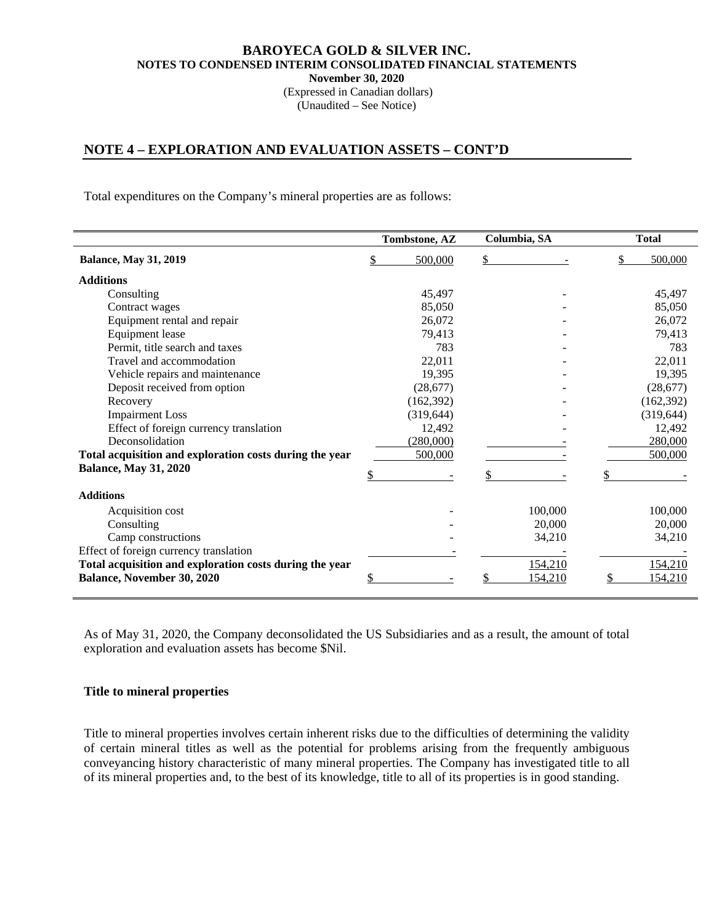(Expressed in Canadian dollars) (Unaudited – See Notice)

## **NOTE 4 – EXPLORATION AND EVALUATION ASSETS – CONT'D**

Total expenditures on the Company's mineral properties are as follows:

|                                                         |    | Tombstone, AZ | Columbia, SA | <b>Total</b> |
|---------------------------------------------------------|----|---------------|--------------|--------------|
| <b>Balance, May 31, 2019</b>                            | \$ | 500,000       | \$           | 500,000      |
| <b>Additions</b>                                        |    |               |              |              |
| Consulting                                              |    | 45,497        |              | 45,497       |
| Contract wages                                          |    | 85,050        |              | 85,050       |
| Equipment rental and repair                             |    | 26,072        |              | 26,072       |
| Equipment lease                                         |    | 79,413        |              | 79,413       |
| Permit, title search and taxes                          |    | 783           |              | 783          |
| Travel and accommodation                                |    | 22,011        |              | 22,011       |
| Vehicle repairs and maintenance                         |    | 19,395        |              | 19,395       |
| Deposit received from option                            |    | (28,677)      |              | (28, 677)    |
| Recovery                                                |    | (162, 392)    |              | (162, 392)   |
| <b>Impairment Loss</b>                                  |    | (319, 644)    |              | (319, 644)   |
| Effect of foreign currency translation                  |    | 12,492        |              | 12,492       |
| Deconsolidation                                         |    | (280,000)     |              | 280,000      |
| Total acquisition and exploration costs during the year |    | 500,000       |              | 500,000      |
| <b>Balance, May 31, 2020</b>                            |    |               |              |              |
| <b>Additions</b>                                        |    |               |              |              |
| Acquisition cost                                        |    |               | 100,000      | 100,000      |
| Consulting                                              |    |               | 20,000       | 20,000       |
| Camp constructions                                      |    |               | 34,210       | 34,210       |
| Effect of foreign currency translation                  |    |               |              |              |
| Total acquisition and exploration costs during the year |    |               | 154,210      | 154,210      |
| <b>Balance, November 30, 2020</b>                       | S  |               | 154,210      | 154,210      |

As of May 31, 2020, the Company deconsolidated the US Subsidiaries and as a result, the amount of total exploration and evaluation assets has become \$Nil.

#### **Title to mineral properties**

Title to mineral properties involves certain inherent risks due to the difficulties of determining the validity of certain mineral titles as well as the potential for problems arising from the frequently ambiguous conveyancing history characteristic of many mineral properties. The Company has investigated title to all of its mineral properties and, to the best of its knowledge, title to all of its properties is in good standing.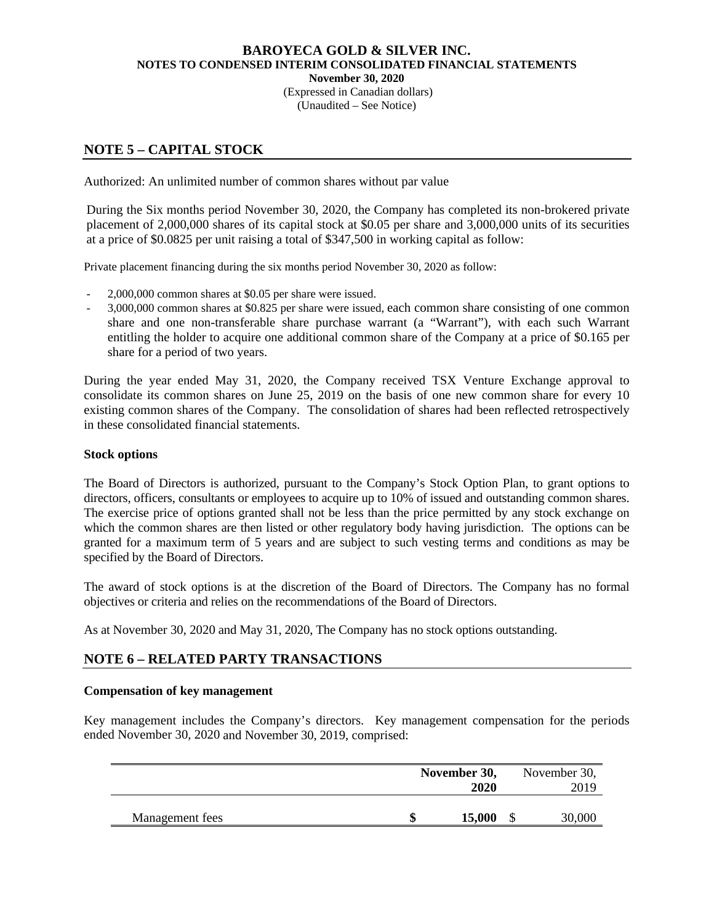(Expressed in Canadian dollars) (Unaudited – See Notice)

# **NOTE 5 – CAPITAL STOCK**

Authorized: An unlimited number of common shares without par value

During the Six months period November 30, 2020, the Company has completed its non-brokered private placement of 2,000,000 shares of its capital stock at \$0.05 per share and 3,000,000 units of its securities at a price of \$0.0825 per unit raising a total of \$347,500 in working capital as follow:

Private placement financing during the six months period November 30, 2020 as follow:

- 2,000,000 common shares at \$0.05 per share were issued.
- 3,000,000 common shares at \$0.825 per share were issued, each common share consisting of one common share and one non-transferable share purchase warrant (a "Warrant"), with each such Warrant entitling the holder to acquire one additional common share of the Company at a price of \$0.165 per share for a period of two years.

During the year ended May 31, 2020, the Company received TSX Venture Exchange approval to consolidate its common shares on June 25, 2019 on the basis of one new common share for every 10 existing common shares of the Company. The consolidation of shares had been reflected retrospectively in these consolidated financial statements.

#### **Stock options**

The Board of Directors is authorized, pursuant to the Company's Stock Option Plan, to grant options to directors, officers, consultants or employees to acquire up to 10% of issued and outstanding common shares. The exercise price of options granted shall not be less than the price permitted by any stock exchange on which the common shares are then listed or other regulatory body having jurisdiction. The options can be granted for a maximum term of 5 years and are subject to such vesting terms and conditions as may be specified by the Board of Directors.

The award of stock options is at the discretion of the Board of Directors. The Company has no formal objectives or criteria and relies on the recommendations of the Board of Directors.

As at November 30, 2020 and May 31, 2020, The Company has no stock options outstanding.

# **NOTE 6 – RELATED PARTY TRANSACTIONS**

#### **Compensation of key management**

Key management includes the Company's directors. Key management compensation for the periods ended November 30, 2020 and November 30, 2019, comprised:

|                 | November 30,<br>2020 | November 30,<br>2019 |
|-----------------|----------------------|----------------------|
| Management fees | 15,000               | 30,000               |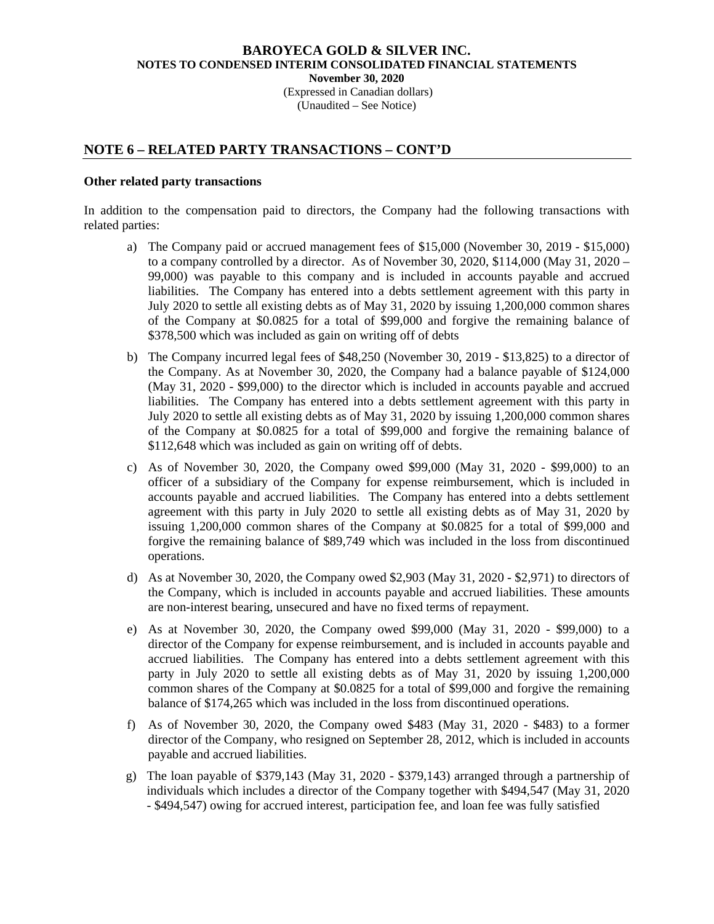(Expressed in Canadian dollars) (Unaudited – See Notice)

## **NOTE 6 – RELATED PARTY TRANSACTIONS – CONT'D**

#### **Other related party transactions**

In addition to the compensation paid to directors, the Company had the following transactions with related parties:

- a) The Company paid or accrued management fees of \$15,000 (November 30, 2019 \$15,000) to a company controlled by a director. As of November 30, 2020, \$114,000 (May 31, 2020 – 99,000) was payable to this company and is included in accounts payable and accrued liabilities. The Company has entered into a debts settlement agreement with this party in July 2020 to settle all existing debts as of May 31, 2020 by issuing 1,200,000 common shares of the Company at \$0.0825 for a total of \$99,000 and forgive the remaining balance of \$378,500 which was included as gain on writing off of debts
- b) The Company incurred legal fees of \$48,250 (November 30, 2019 \$13,825) to a director of the Company. As at November 30, 2020, the Company had a balance payable of \$124,000 (May 31, 2020 - \$99,000) to the director which is included in accounts payable and accrued liabilities. The Company has entered into a debts settlement agreement with this party in July 2020 to settle all existing debts as of May 31, 2020 by issuing 1,200,000 common shares of the Company at \$0.0825 for a total of \$99,000 and forgive the remaining balance of \$112,648 which was included as gain on writing off of debts.
- c) As of November 30, 2020, the Company owed \$99,000 (May 31, 2020 \$99,000) to an officer of a subsidiary of the Company for expense reimbursement, which is included in accounts payable and accrued liabilities. The Company has entered into a debts settlement agreement with this party in July 2020 to settle all existing debts as of May 31, 2020 by issuing 1,200,000 common shares of the Company at \$0.0825 for a total of \$99,000 and forgive the remaining balance of \$89,749 which was included in the loss from discontinued operations.
- d) As at November 30, 2020, the Company owed \$2,903 (May 31, 2020 \$2,971) to directors of the Company, which is included in accounts payable and accrued liabilities. These amounts are non-interest bearing, unsecured and have no fixed terms of repayment.
- e) As at November 30, 2020, the Company owed \$99,000 (May 31, 2020 \$99,000) to a director of the Company for expense reimbursement, and is included in accounts payable and accrued liabilities. The Company has entered into a debts settlement agreement with this party in July 2020 to settle all existing debts as of May 31, 2020 by issuing 1,200,000 common shares of the Company at \$0.0825 for a total of \$99,000 and forgive the remaining balance of \$174,265 which was included in the loss from discontinued operations.
- f) As of November 30, 2020, the Company owed \$483 (May 31, 2020 \$483) to a former director of the Company, who resigned on September 28, 2012, which is included in accounts payable and accrued liabilities.
- g) The loan payable of \$379,143 (May 31, 2020 \$379,143) arranged through a partnership of individuals which includes a director of the Company together with \$494,547 (May 31, 2020 - \$494,547) owing for accrued interest, participation fee, and loan fee was fully satisfied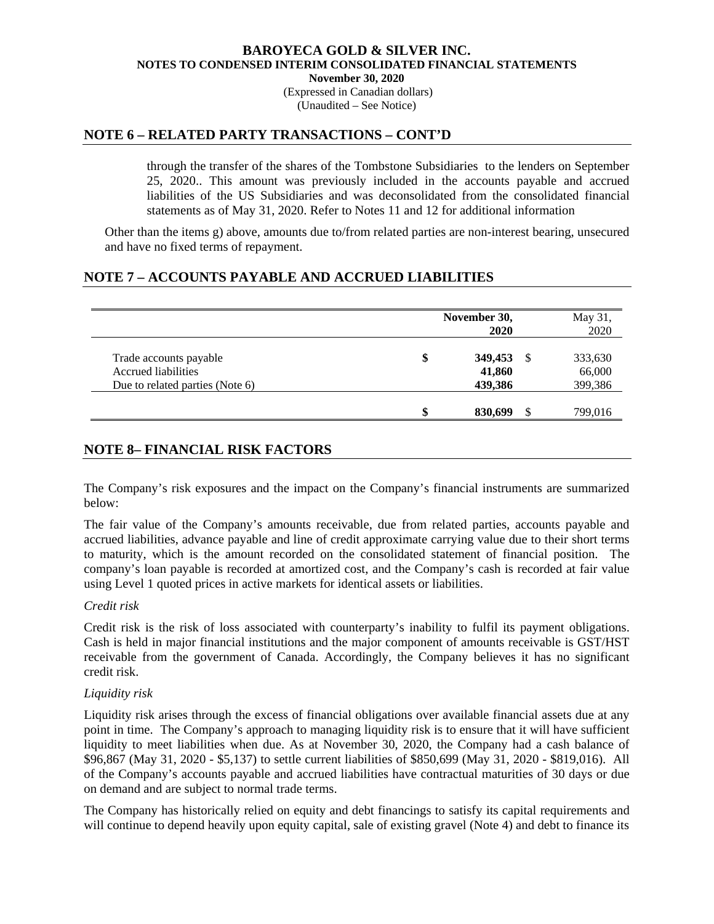#### **BAROYECA GOLD & SILVER INC. NOTES TO CONDENSED INTERIM CONSOLIDATED FINANCIAL STATEMENTS November 30, 2020**  (Expressed in Canadian dollars)

(Unaudited – See Notice)

## **NOTE 6 – RELATED PARTY TRANSACTIONS – CONT'D**

 through the transfer of the shares of the Tombstone Subsidiaries to the lenders on September 25, 2020.. This amount was previously included in the accounts payable and accrued liabilities of the US Subsidiaries and was deconsolidated from the consolidated financial statements as of May 31, 2020. Refer to Notes 11 and 12 for additional information

Other than the items g) above, amounts due to/from related parties are non-interest bearing, unsecured and have no fixed terms of repayment.

### **NOTE 7 – ACCOUNTS PAYABLE AND ACCRUED LIABILITIES**

|                                 | November 30, |         |               | May 31, |
|---------------------------------|--------------|---------|---------------|---------|
|                                 |              | 2020    |               | 2020    |
| Trade accounts payable          | \$           | 349,453 | <sup>\$</sup> | 333,630 |
| <b>Accrued liabilities</b>      |              | 41,860  |               | 66,000  |
| Due to related parties (Note 6) |              | 439,386 |               | 399,386 |
|                                 |              | 830.699 |               | 799,016 |

# **NOTE 8– FINANCIAL RISK FACTORS**

The Company's risk exposures and the impact on the Company's financial instruments are summarized below:

The fair value of the Company's amounts receivable, due from related parties, accounts payable and accrued liabilities, advance payable and line of credit approximate carrying value due to their short terms to maturity, which is the amount recorded on the consolidated statement of financial position. The company's loan payable is recorded at amortized cost, and the Company's cash is recorded at fair value using Level 1 quoted prices in active markets for identical assets or liabilities.

#### *Credit risk*

Credit risk is the risk of loss associated with counterparty's inability to fulfil its payment obligations. Cash is held in major financial institutions and the major component of amounts receivable is GST/HST receivable from the government of Canada. Accordingly, the Company believes it has no significant credit risk.

#### *Liquidity risk*

Liquidity risk arises through the excess of financial obligations over available financial assets due at any point in time. The Company's approach to managing liquidity risk is to ensure that it will have sufficient liquidity to meet liabilities when due. As at November 30, 2020, the Company had a cash balance of \$96,867 (May 31, 2020 - \$5,137) to settle current liabilities of \$850,699 (May 31, 2020 - \$819,016). All of the Company's accounts payable and accrued liabilities have contractual maturities of 30 days or due on demand and are subject to normal trade terms.

The Company has historically relied on equity and debt financings to satisfy its capital requirements and will continue to depend heavily upon equity capital, sale of existing gravel (Note 4) and debt to finance its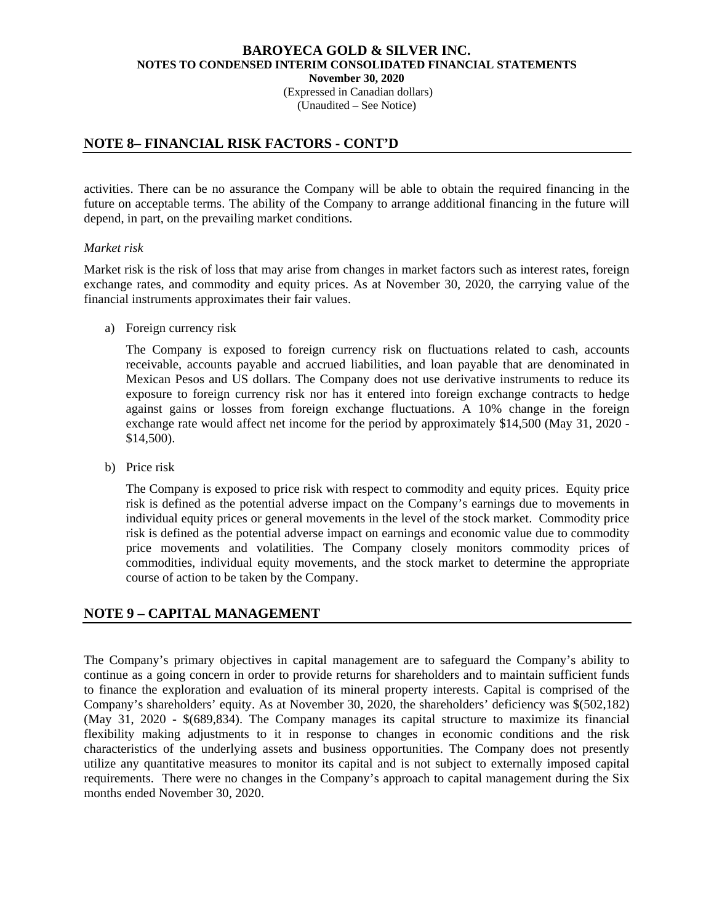(Expressed in Canadian dollars) (Unaudited – See Notice)

## **NOTE 8– FINANCIAL RISK FACTORS - CONT'D**

activities. There can be no assurance the Company will be able to obtain the required financing in the future on acceptable terms. The ability of the Company to arrange additional financing in the future will depend, in part, on the prevailing market conditions.

### *Market risk*

Market risk is the risk of loss that may arise from changes in market factors such as interest rates, foreign exchange rates, and commodity and equity prices. As at November 30, 2020, the carrying value of the financial instruments approximates their fair values.

a) Foreign currency risk

The Company is exposed to foreign currency risk on fluctuations related to cash, accounts receivable, accounts payable and accrued liabilities, and loan payable that are denominated in Mexican Pesos and US dollars. The Company does not use derivative instruments to reduce its exposure to foreign currency risk nor has it entered into foreign exchange contracts to hedge against gains or losses from foreign exchange fluctuations. A 10% change in the foreign exchange rate would affect net income for the period by approximately \$14,500 (May 31, 2020 - \$14,500).

b) Price risk

The Company is exposed to price risk with respect to commodity and equity prices. Equity price risk is defined as the potential adverse impact on the Company's earnings due to movements in individual equity prices or general movements in the level of the stock market. Commodity price risk is defined as the potential adverse impact on earnings and economic value due to commodity price movements and volatilities. The Company closely monitors commodity prices of commodities, individual equity movements, and the stock market to determine the appropriate course of action to be taken by the Company.

# **NOTE 9 – CAPITAL MANAGEMENT**

The Company's primary objectives in capital management are to safeguard the Company's ability to continue as a going concern in order to provide returns for shareholders and to maintain sufficient funds to finance the exploration and evaluation of its mineral property interests. Capital is comprised of the Company's shareholders' equity. As at November 30, 2020, the shareholders' deficiency was \$(502,182) (May 31, 2020 - \$(689,834). The Company manages its capital structure to maximize its financial flexibility making adjustments to it in response to changes in economic conditions and the risk characteristics of the underlying assets and business opportunities. The Company does not presently utilize any quantitative measures to monitor its capital and is not subject to externally imposed capital requirements. There were no changes in the Company's approach to capital management during the Six months ended November 30, 2020.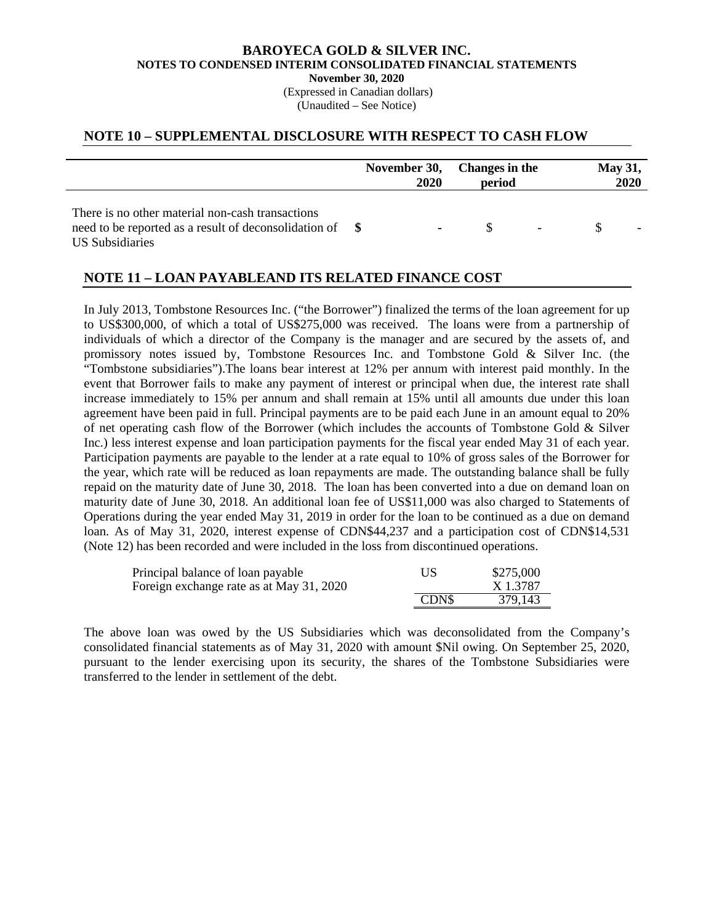(Expressed in Canadian dollars) (Unaudited – See Notice)

### **NOTE 10 – SUPPLEMENTAL DISCLOSURE WITH RESPECT TO CASH FLOW**

|                                                                                                                                    | 2020 | November 30, Changes in the<br>period | <b>May 31,</b><br><b>2020</b> |
|------------------------------------------------------------------------------------------------------------------------------------|------|---------------------------------------|-------------------------------|
| There is no other material non-cash transactions<br>need to be reported as a result of deconsolidation of $\$\$<br>US Subsidiaries |      |                                       | $\sim$                        |

### **NOTE 11 – LOAN PAYABLEAND ITS RELATED FINANCE COST**

In July 2013, Tombstone Resources Inc. ("the Borrower") finalized the terms of the loan agreement for up to US\$300,000, of which a total of US\$275,000 was received. The loans were from a partnership of individuals of which a director of the Company is the manager and are secured by the assets of, and promissory notes issued by, Tombstone Resources Inc. and Tombstone Gold & Silver Inc. (the "Tombstone subsidiaries").The loans bear interest at 12% per annum with interest paid monthly. In the event that Borrower fails to make any payment of interest or principal when due, the interest rate shall increase immediately to 15% per annum and shall remain at 15% until all amounts due under this loan agreement have been paid in full. Principal payments are to be paid each June in an amount equal to 20% of net operating cash flow of the Borrower (which includes the accounts of Tombstone Gold & Silver Inc.) less interest expense and loan participation payments for the fiscal year ended May 31 of each year. Participation payments are payable to the lender at a rate equal to 10% of gross sales of the Borrower for the year, which rate will be reduced as loan repayments are made. The outstanding balance shall be fully repaid on the maturity date of June 30, 2018. The loan has been converted into a due on demand loan on maturity date of June 30, 2018. An additional loan fee of US\$11,000 was also charged to Statements of Operations during the year ended May 31, 2019 in order for the loan to be continued as a due on demand loan. As of May 31, 2020, interest expense of CDN\$44,237 and a participation cost of CDN\$14,531 (Note 12) has been recorded and were included in the loss from discontinued operations.

| Principal balance of loan payable        | US          | \$275,000 |
|------------------------------------------|-------------|-----------|
| Foreign exchange rate as at May 31, 2020 |             | X 1.3787  |
|                                          | <b>CDNS</b> | 379,143   |

The above loan was owed by the US Subsidiaries which was deconsolidated from the Company's consolidated financial statements as of May 31, 2020 with amount \$Nil owing. On September 25, 2020, pursuant to the lender exercising upon its security, the shares of the Tombstone Subsidiaries were transferred to the lender in settlement of the debt.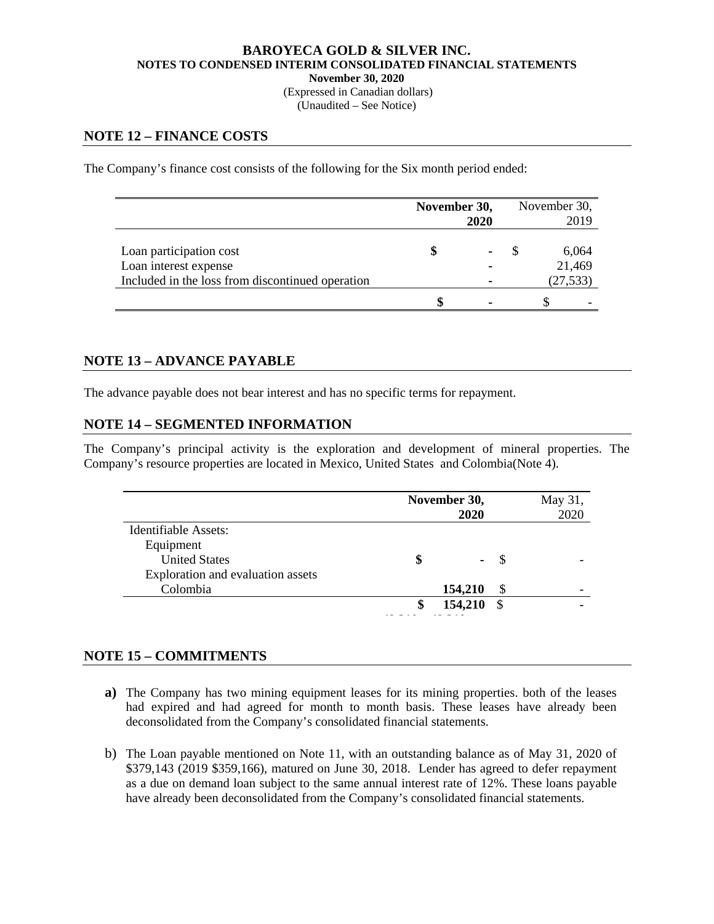(Expressed in Canadian dollars) (Unaudited – See Notice)

## **NOTE 12 – FINANCE COSTS**

The Company's finance cost consists of the following for the Six month period ended:

|                                                                                                      | November 30,<br>2020 | November 30, | 2019      |                 |
|------------------------------------------------------------------------------------------------------|----------------------|--------------|-----------|-----------------|
| Loan participation cost<br>Loan interest expense<br>Included in the loss from discontinued operation |                      | ٠            | (27, 533) | 6,064<br>21,469 |
|                                                                                                      |                      |              |           |                 |

### **NOTE 13 – ADVANCE PAYABLE**

The advance payable does not bear interest and has no specific terms for repayment.

### **NOTE 14 – SEGMENTED INFORMATION**

The Company's principal activity is the exploration and development of mineral properties. The Company's resource properties are located in Mexico, United States and Colombia(Note 4).

|                                   | November 30, | 2020    |               | May 31,<br>2020 |
|-----------------------------------|--------------|---------|---------------|-----------------|
| Identifiable Assets:              |              |         |               |                 |
| Equipment                         |              |         |               |                 |
| <b>United States</b>              |              | ۰       |               |                 |
| Exploration and evaluation assets |              |         |               |                 |
| Colombia                          |              | 154,210 | \$            |                 |
|                                   |              | 154,210 | <sup>\$</sup> |                 |
|                                   |              |         |               |                 |

### **NOTE 15 – COMMITMENTS**

- **a)** The Company has two mining equipment leases for its mining properties. both of the leases had expired and had agreed for month to month basis. These leases have already been deconsolidated from the Company's consolidated financial statements.
- b) The Loan payable mentioned on Note 11, with an outstanding balance as of May 31, 2020 of \$379,143 (2019 \$359,166), matured on June 30, 2018. Lender has agreed to defer repayment as a due on demand loan subject to the same annual interest rate of 12%. These loans payable have already been deconsolidated from the Company's consolidated financial statements.